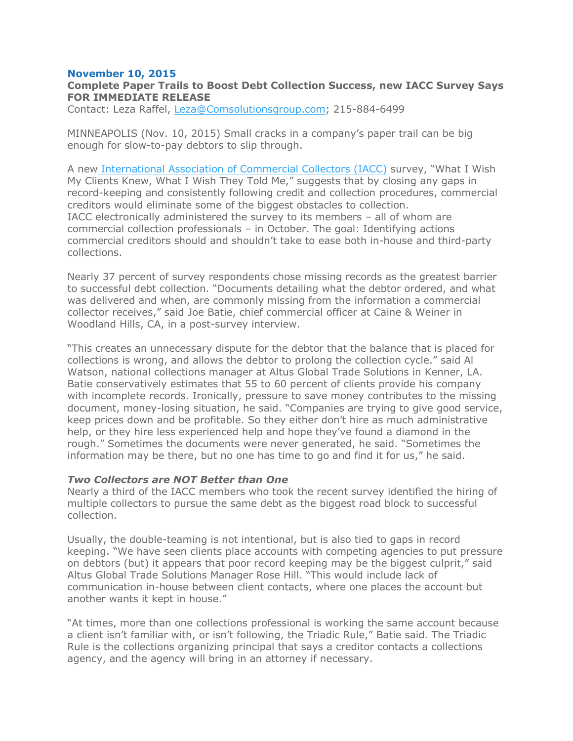## **November 10, 2015**

# **Complete Paper Trails to Boost Debt Collection Success, new IACC Survey Says FOR IMMEDIATE RELEASE**

Contact: Leza Raffel, [Leza@Comsolutionsgroup.com;](mailto:Leza@Comsolutionsgroup.com) 215-884-6499

MINNEAPOLIS (Nov. 10, 2015) Small cracks in a company's paper trail can be big enough for slow-to-pay debtors to slip through.

A new [International](https://www.commercialcollector.com/default) Association of Commercial Collectors (IACC) survey, "What I Wish My Clients Knew, What I Wish They Told Me," suggests that by closing any gaps in record-keeping and consistently following credit and collection procedures, commercial creditors would eliminate some of the biggest obstacles to collection. IACC electronically administered the survey to its members – all of whom are commercial collection professionals – in October. The goal: Identifying actions commercial creditors should and shouldn't take to ease both in-house and third-party collections.

Nearly 37 percent of survey respondents chose missing records as the greatest barrier to successful debt collection. "Documents detailing what the debtor ordered, and what was delivered and when, are commonly missing from the information a commercial collector receives," said Joe Batie, chief commercial officer at Caine & Weiner in Woodland Hills, CA, in a post-survey interview.

"This creates an unnecessary dispute for the debtor that the balance that is placed for collections is wrong, and allows the debtor to prolong the collection cycle." said Al Watson, national collections manager at Altus Global Trade Solutions in Kenner, LA. Batie conservatively estimates that 55 to 60 percent of clients provide his company with incomplete records. Ironically, pressure to save money contributes to the missing document, money-losing situation, he said. "Companies are trying to give good service, keep prices down and be profitable. So they either don't hire as much administrative help, or they hire less experienced help and hope they've found a diamond in the rough." Sometimes the documents were never generated, he said. "Sometimes the information may be there, but no one has time to go and find it for us," he said.

#### *Two Collectors are NOT Better than One*

Nearly a third of the IACC members who took the recent survey identified the hiring of multiple collectors to pursue the same debt as the biggest road block to successful collection.

Usually, the double-teaming is not intentional, but is also tied to gaps in record keeping. "We have seen clients place accounts with competing agencies to put pressure on debtors (but) it appears that poor record keeping may be the biggest culprit," said Altus Global Trade Solutions Manager Rose Hill. "This would include lack of communication in-house between client contacts, where one places the account but another wants it kept in house."

"At times, more than one collections professional is working the same account because a client isn't familiar with, or isn't following, the Triadic Rule," Batie said. The Triadic Rule is the collections organizing principal that says a creditor contacts a collections agency, and the agency will bring in an attorney if necessary.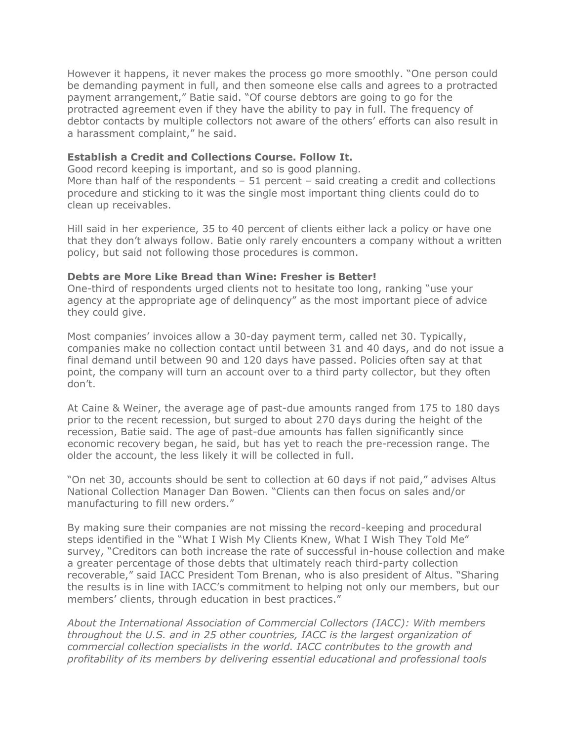However it happens, it never makes the process go more smoothly. "One person could be demanding payment in full, and then someone else calls and agrees to a protracted payment arrangement," Batie said. "Of course debtors are going to go for the protracted agreement even if they have the ability to pay in full. The frequency of debtor contacts by multiple collectors not aware of the others' efforts can also result in a harassment complaint," he said.

## **Establish a Credit and Collections Course. Follow It.**

Good record keeping is important, and so is good planning.

More than half of the respondents  $-51$  percent  $-$  said creating a credit and collections procedure and sticking to it was the single most important thing clients could do to clean up receivables.

Hill said in her experience, 35 to 40 percent of clients either lack a policy or have one that they don't always follow. Batie only rarely encounters a company without a written policy, but said not following those procedures is common.

## **Debts are More Like Bread than Wine: Fresher is Better!**

One-third of respondents urged clients not to hesitate too long, ranking "use your agency at the appropriate age of delinquency" as the most important piece of advice they could give.

Most companies' invoices allow a 30-day payment term, called net 30. Typically, companies make no collection contact until between 31 and 40 days, and do not issue a final demand until between 90 and 120 days have passed. Policies often say at that point, the company will turn an account over to a third party collector, but they often don't.

At Caine & Weiner, the average age of past-due amounts ranged from 175 to 180 days prior to the recent recession, but surged to about 270 days during the height of the recession, Batie said. The age of past-due amounts has fallen significantly since economic recovery began, he said, but has yet to reach the pre-recession range. The older the account, the less likely it will be collected in full.

"On net 30, accounts should be sent to collection at 60 days if not paid," advises Altus National Collection Manager Dan Bowen. "Clients can then focus on sales and/or manufacturing to fill new orders."

By making sure their companies are not missing the record-keeping and procedural steps identified in the "What I Wish My Clients Knew, What I Wish They Told Me" survey, "Creditors can both increase the rate of successful in-house collection and make a greater percentage of those debts that ultimately reach third-party collection recoverable," said IACC President Tom Brenan, who is also president of Altus. "Sharing the results is in line with IACC's commitment to helping not only our members, but our members' clients, through education in best practices."

*About the International Association of Commercial Collectors (IACC): With members throughout the U.S. and in 25 other countries, IACC is the largest organization of commercial collection specialists in the world. IACC contributes to the growth and profitability of its members by delivering essential educational and professional tools*